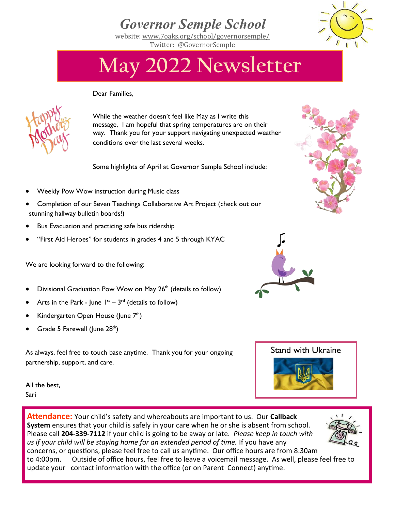## *Governor Semple School*

website: [www.7oaks.org/school/governorsemple/](http://www.7oaks.org/school/governorsemple/)  Twitter: @GovernorSemple



## **May 2022 Newsletter**

Dear Families,



While the weather doesn't feel like May as I write this message, I am hopeful that spring temperatures are on their way. Thank you for your support navigating unexpected weather conditions over the last several weeks.

Some highlights of April at Governor Semple School include:

- Weekly Pow Wow instruction during Music class
- Completion of our Seven Teachings Collaborative Art Project (check out our stunning hallway bulletin boards!)
- Bus Evacuation and practicing safe bus ridership
- "First Aid Heroes" for students in grades 4 and 5 through KYAC

We are looking forward to the following:

- Divisional Graduation Pow Wow on May 26<sup>th</sup> (details to follow)
- Arts in the Park June  $I^{st} 3^{rd}$  (details to follow)
- Kindergarten Open House (June 7<sup>th</sup>)
- Grade 5 Farewell (June 28<sup>th</sup>)

As always, feel free to touch base anytime. Thank you for your ongoing partnership, support, and care.

All the best, Sari



**Attendance:** Your child's safety and whereabouts are important to us. Our **Callback System** ensures that your child is safely in your care when he or she is absent from school. Please call **204-339-7112** if your child is going to be away or late*. Please keep in touch with us if your child will be staying home for an extended period of time.* If you have any concerns, or questions, please feel free to call us anytime. Our office hours are from 8:30am to 4:00pm. Outside of office hours, feel free to leave a voicemail message. As well, please feel free to update your contact information with the office (or on Parent Connect) anytime.